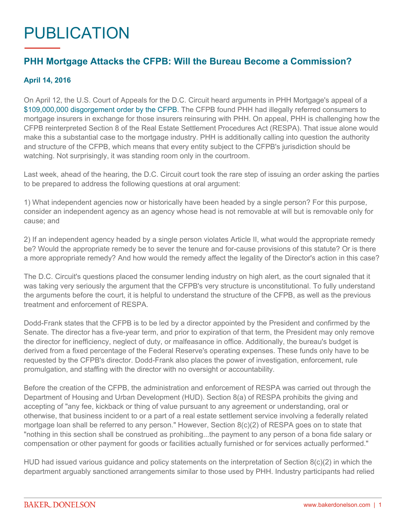## PUBLICATION

## **PHH Mortgage Attacks the CFPB: Will the Bureau Become a Commission?**

## **April 14, 2016**

On April 12, the U.S. Court of Appeals for the D.C. Circuit heard arguments in PHH Mortgage's appeal of a [\\$109,000,000 disgorgement order by the CFPB](http://files.consumerfinance.gov/f/201506_cfpb_final_order_227.pdf). The CFPB found PHH had illegally referred consumers to mortgage insurers in exchange for those insurers reinsuring with PHH. On appeal, PHH is challenging how the CFPB reinterpreted Section 8 of the Real Estate Settlement Procedures Act (RESPA). That issue alone would make this a substantial case to the mortgage industry. PHH is additionally calling into question the authority and structure of the CFPB, which means that every entity subject to the CFPB's jurisdiction should be watching. Not surprisingly, it was standing room only in the courtroom.

Last week, ahead of the hearing, the D.C. Circuit court took the rare step of issuing an order asking the parties to be prepared to address the following questions at oral argument:

1) What independent agencies now or historically have been headed by a single person? For this purpose, consider an independent agency as an agency whose head is not removable at will but is removable only for cause; and

2) If an independent agency headed by a single person violates Article II, what would the appropriate remedy be? Would the appropriate remedy be to sever the tenure and for-cause provisions of this statute? Or is there a more appropriate remedy? And how would the remedy affect the legality of the Director's action in this case?

The D.C. Circuit's questions placed the consumer lending industry on high alert, as the court signaled that it was taking very seriously the argument that the CFPB's very structure is unconstitutional. To fully understand the arguments before the court, it is helpful to understand the structure of the CFPB, as well as the previous treatment and enforcement of RESPA.

Dodd-Frank states that the CFPB is to be led by a director appointed by the President and confirmed by the Senate. The director has a five-year term, and prior to expiration of that term, the President may only remove the director for inefficiency, neglect of duty, or malfeasance in office. Additionally, the bureau's budget is derived from a fixed percentage of the Federal Reserve's operating expenses. These funds only have to be requested by the CFPB's director. Dodd-Frank also places the power of investigation, enforcement, rule promulgation, and staffing with the director with no oversight or accountability.

Before the creation of the CFPB, the administration and enforcement of RESPA was carried out through the Department of Housing and Urban Development (HUD). Section 8(a) of RESPA prohibits the giving and accepting of "any fee, kickback or thing of value pursuant to any agreement or understanding, oral or otherwise, that business incident to or a part of a real estate settlement service involving a federally related mortgage loan shall be referred to any person." However, Section 8(c)(2) of RESPA goes on to state that "nothing in this section shall be construed as prohibiting...the payment to any person of a bona fide salary or compensation or other payment for goods or facilities actually furnished or for services actually performed."

HUD had issued various guidance and policy statements on the interpretation of Section 8(c)(2) in which the department arguably sanctioned arrangements similar to those used by PHH. Industry participants had relied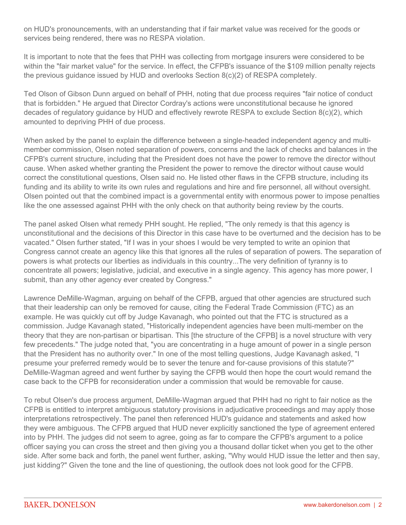on HUD's pronouncements, with an understanding that if fair market value was received for the goods or services being rendered, there was no RESPA violation.

It is important to note that the fees that PHH was collecting from mortgage insurers were considered to be within the "fair market value" for the service. In effect, the CFPB's issuance of the \$109 million penalty rejects the previous guidance issued by HUD and overlooks Section 8(c)(2) of RESPA completely.

Ted Olson of Gibson Dunn argued on behalf of PHH, noting that due process requires "fair notice of conduct that is forbidden." He argued that Director Cordray's actions were unconstitutional because he ignored decades of regulatory guidance by HUD and effectively rewrote RESPA to exclude Section 8(c)(2), which amounted to depriving PHH of due process.

When asked by the panel to explain the difference between a single-headed independent agency and multimember commission, Olsen noted separation of powers, concerns and the lack of checks and balances in the CFPB's current structure, including that the President does not have the power to remove the director without cause. When asked whether granting the President the power to remove the director without cause would correct the constitutional questions, Olsen said no. He listed other flaws in the CFPB structure, including its funding and its ability to write its own rules and regulations and hire and fire personnel, all without oversight. Olsen pointed out that the combined impact is a governmental entity with enormous power to impose penalties like the one assessed against PHH with the only check on that authority being review by the courts.

The panel asked Olsen what remedy PHH sought. He replied, "The only remedy is that this agency is unconstitutional and the decisions of this Director in this case have to be overturned and the decision has to be vacated." Olsen further stated, "If I was in your shoes I would be very tempted to write an opinion that Congress cannot create an agency like this that ignores all the rules of separation of powers. The separation of powers is what protects our liberties as individuals in this country...The very definition of tyranny is to concentrate all powers; legislative, judicial, and executive in a single agency. This agency has more power, I submit, than any other agency ever created by Congress."

Lawrence DeMille-Wagman, arguing on behalf of the CFPB, argued that other agencies are structured such that their leadership can only be removed for cause, citing the Federal Trade Commission (FTC) as an example. He was quickly cut off by Judge Kavanagh, who pointed out that the FTC is structured as a commission. Judge Kavanagh stated, "Historically independent agencies have been multi-member on the theory that they are non-partisan or bipartisan. This [the structure of the CFPB] is a novel structure with very few precedents." The judge noted that, "you are concentrating in a huge amount of power in a single person that the President has no authority over." In one of the most telling questions, Judge Kavanagh asked, "I presume your preferred remedy would be to sever the tenure and for-cause provisions of this statute?" DeMille-Wagman agreed and went further by saying the CFPB would then hope the court would remand the case back to the CFPB for reconsideration under a commission that would be removable for cause.

To rebut Olsen's due process argument, DeMille-Wagman argued that PHH had no right to fair notice as the CFPB is entitled to interpret ambiguous statutory provisions in adjudicative proceedings and may apply those interpretations retrospectively. The panel then referenced HUD's guidance and statements and asked how they were ambiguous. The CFPB argued that HUD never explicitly sanctioned the type of agreement entered into by PHH. The judges did not seem to agree, going as far to compare the CFPB's argument to a police officer saying you can cross the street and then giving you a thousand dollar ticket when you get to the other side. After some back and forth, the panel went further, asking, "Why would HUD issue the letter and then say, just kidding?" Given the tone and the line of questioning, the outlook does not look good for the CFPB.